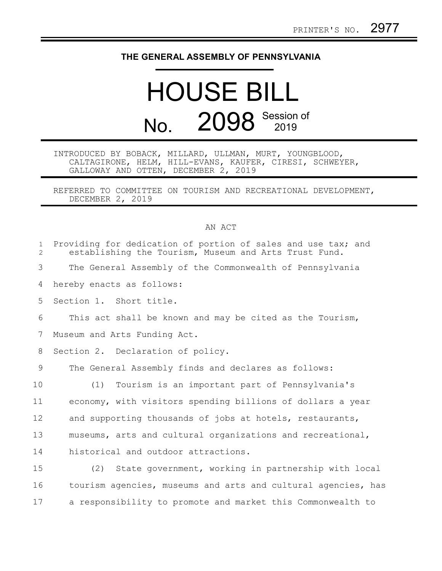## **THE GENERAL ASSEMBLY OF PENNSYLVANIA**

## HOUSE BILL No. 2098 Session of

## INTRODUCED BY BOBACK, MILLARD, ULLMAN, MURT, YOUNGBLOOD, CALTAGIRONE, HELM, HILL-EVANS, KAUFER, CIRESI, SCHWEYER, GALLOWAY AND OTTEN, DECEMBER 2, 2019

REFERRED TO COMMITTEE ON TOURISM AND RECREATIONAL DEVELOPMENT, DECEMBER 2, 2019

## AN ACT

| $\mathbf{1}$<br>$\overline{2}$ | Providing for dedication of portion of sales and use tax; and<br>establishing the Tourism, Museum and Arts Trust Fund. |
|--------------------------------|------------------------------------------------------------------------------------------------------------------------|
| 3                              | The General Assembly of the Commonwealth of Pennsylvania                                                               |
| 4                              | hereby enacts as follows:                                                                                              |
| 5                              | Section 1. Short title.                                                                                                |
| 6                              | This act shall be known and may be cited as the Tourism,                                                               |
| 7                              | Museum and Arts Funding Act.                                                                                           |
| 8                              | Section 2. Declaration of policy.                                                                                      |
| 9                              | The General Assembly finds and declares as follows:                                                                    |
| 10                             | Tourism is an important part of Pennsylvania's<br>(1)                                                                  |
| 11                             | economy, with visitors spending billions of dollars a year                                                             |
| 12                             | and supporting thousands of jobs at hotels, restaurants,                                                               |
| 13                             | museums, arts and cultural organizations and recreational,                                                             |
| 14                             | historical and outdoor attractions.                                                                                    |
| 15                             | (2)<br>State government, working in partnership with local                                                             |
| 16                             | tourism agencies, museums and arts and cultural agencies, has                                                          |
| 17                             | a responsibility to promote and market this Commonwealth to                                                            |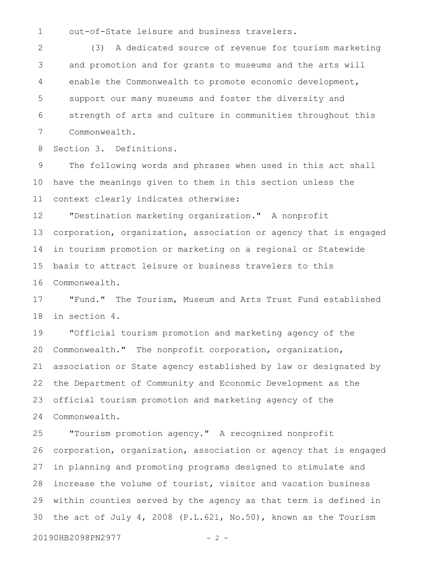out-of-State leisure and business travelers. 1

(3) A dedicated source of revenue for tourism marketing and promotion and for grants to museums and the arts will enable the Commonwealth to promote economic development, support our many museums and foster the diversity and strength of arts and culture in communities throughout this Commonwealth. 2 3 4 5 6 7

Section 3. Definitions. 8

The following words and phrases when used in this act shall have the meanings given to them in this section unless the context clearly indicates otherwise: 9 10 11

"Destination marketing organization." A nonprofit corporation, organization, association or agency that is engaged in tourism promotion or marketing on a regional or Statewide basis to attract leisure or business travelers to this Commonwealth. 12 13 14 15 16

"Fund." The Tourism, Museum and Arts Trust Fund established in section 4. 17 18

"Official tourism promotion and marketing agency of the Commonwealth." The nonprofit corporation, organization, association or State agency established by law or designated by the Department of Community and Economic Development as the official tourism promotion and marketing agency of the Commonwealth. 19 20 21 22 23 24

"Tourism promotion agency." A recognized nonprofit corporation, organization, association or agency that is engaged in planning and promoting programs designed to stimulate and increase the volume of tourist, visitor and vacation business within counties served by the agency as that term is defined in the act of July 4, 2008 (P.L.621, No.50), known as the Tourism 25 26 27 28 29 30

20190HB2098PN2977 - 2 -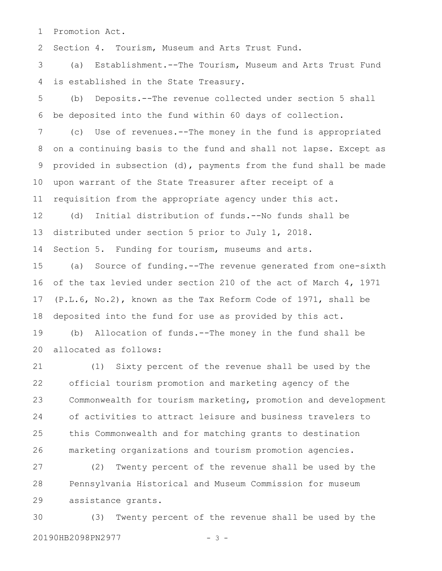Promotion Act. 1

Section 4. Tourism, Museum and Arts Trust Fund. 2

(a) Establishment.--The Tourism, Museum and Arts Trust Fund is established in the State Treasury. 3 4

(b) Deposits.--The revenue collected under section 5 shall be deposited into the fund within 60 days of collection. 5 6

(c) Use of revenues.--The money in the fund is appropriated on a continuing basis to the fund and shall not lapse. Except as provided in subsection (d), payments from the fund shall be made upon warrant of the State Treasurer after receipt of a requisition from the appropriate agency under this act. 7 8 9 10 11

(d) Initial distribution of funds.--No funds shall be distributed under section 5 prior to July 1, 2018. 12 13

Section 5. Funding for tourism, museums and arts. 14

(a) Source of funding.--The revenue generated from one-sixth of the tax levied under section 210 of the act of March 4, 1971 (P.L.6, No.2), known as the Tax Reform Code of 1971, shall be deposited into the fund for use as provided by this act. 15 16 17 18

(b) Allocation of funds.--The money in the fund shall be allocated as follows: 19 20

(1) Sixty percent of the revenue shall be used by the official tourism promotion and marketing agency of the Commonwealth for tourism marketing, promotion and development of activities to attract leisure and business travelers to this Commonwealth and for matching grants to destination marketing organizations and tourism promotion agencies. 21 22 23 24 25 26

(2) Twenty percent of the revenue shall be used by the Pennsylvania Historical and Museum Commission for museum assistance grants. 27 28 29

(3) Twenty percent of the revenue shall be used by the 20190HB2098PN2977 - 3 -30